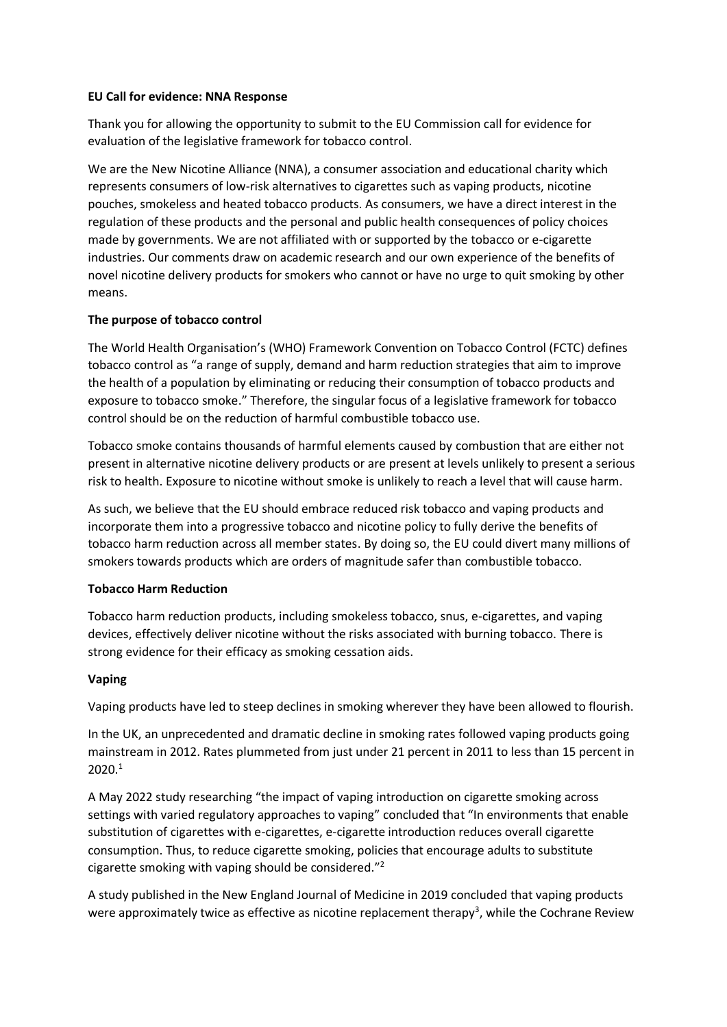#### **EU Call for evidence: NNA Response**

Thank you for allowing the opportunity to submit to the EU Commission call for evidence for evaluation of the legislative framework for tobacco control.

We are the New Nicotine Alliance (NNA), a consumer association and educational charity which represents consumers of low-risk alternatives to cigarettes such as vaping products, nicotine pouches, smokeless and heated tobacco products. As consumers, we have a direct interest in the regulation of these products and the personal and public health consequences of policy choices made by governments. We are not affiliated with or supported by the tobacco or e-cigarette industries. Our comments draw on academic research and our own experience of the benefits of novel nicotine delivery products for smokers who cannot or have no urge to quit smoking by other means.

### **The purpose of tobacco control**

The World Health Organisation's (WHO) Framework Convention on Tobacco Control (FCTC) defines tobacco control as "a range of supply, demand and harm reduction strategies that aim to improve the health of a population by eliminating or reducing their consumption of tobacco products and exposure to tobacco smoke." Therefore, the singular focus of a legislative framework for tobacco control should be on the reduction of harmful combustible tobacco use.

Tobacco smoke contains thousands of harmful elements caused by combustion that are either not present in alternative nicotine delivery products or are present at levels unlikely to present a serious risk to health. Exposure to nicotine without smoke is unlikely to reach a level that will cause harm.

As such, we believe that the EU should embrace reduced risk tobacco and vaping products and incorporate them into a progressive tobacco and nicotine policy to fully derive the benefits of tobacco harm reduction across all member states. By doing so, the EU could divert many millions of smokers towards products which are orders of magnitude safer than combustible tobacco.

#### **Tobacco Harm Reduction**

Tobacco harm reduction products, including smokeless tobacco, snus, e-cigarettes, and vaping devices, effectively deliver nicotine without the risks associated with burning tobacco. There is strong evidence for their efficacy as smoking cessation aids.

# **Vaping**

Vaping products have led to steep declines in smoking wherever they have been allowed to flourish.

In the UK, an unprecedented and dramatic decline in smoking rates followed vaping products going mainstream in 2012. Rates plummeted from just under 21 percent in 2011 to less than 15 percent in 2020. 1

A May 2022 study researching "the impact of vaping introduction on cigarette smoking across settings with varied regulatory approaches to vaping" concluded that "In environments that enable substitution of cigarettes with e-cigarettes, e-cigarette introduction reduces overall cigarette consumption. Thus, to reduce cigarette smoking, policies that encourage adults to substitute cigarette smoking with vaping should be considered."<sup>2</sup>

A study published in the New England Journal of Medicine in 2019 concluded that vaping products were approximately twice as effective as nicotine replacement therapy<sup>3</sup>, while the Cochrane Review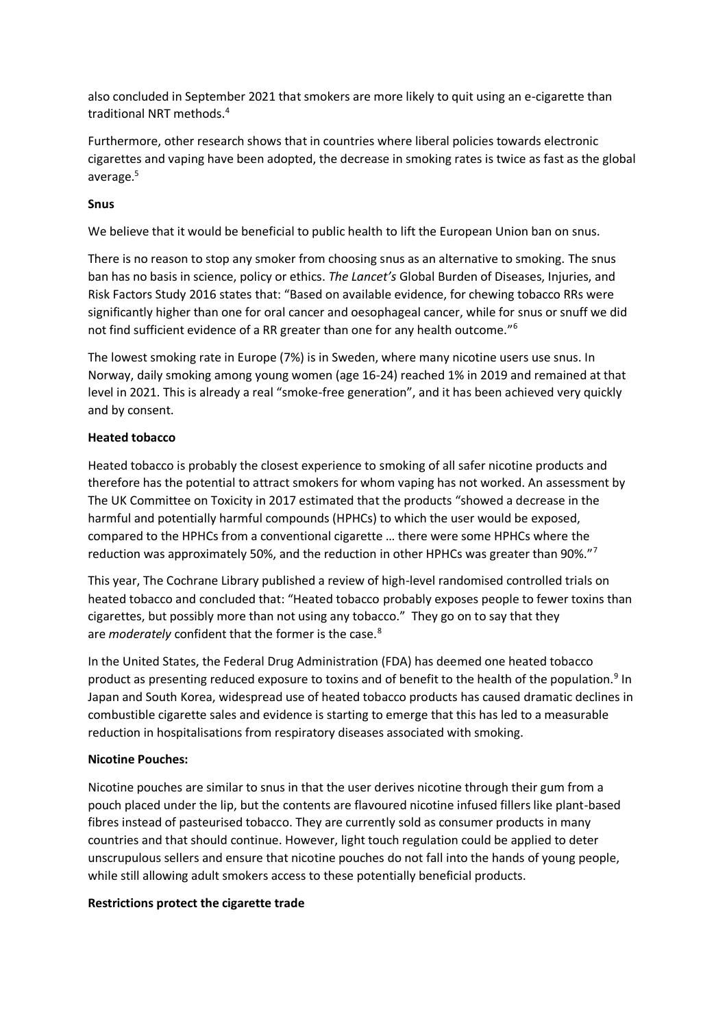also concluded in September 2021 that smokers are more likely to quit using an e-cigarette than traditional NRT methods.<sup>4</sup>

Furthermore, other research shows that in countries where liberal policies towards electronic cigarettes and vaping have been adopted, the decrease in smoking rates is twice as fast as the global average. 5

### **Snus**

We believe that it would be beneficial to public health to lift the European Union ban on snus.

There is no reason to stop any smoker from choosing snus as an alternative to smoking. The snus ban has no basis in science, policy or ethics. *The Lancet's* Global Burden of Diseases, Injuries, and Risk Factors Study 2016 states that: "Based on available evidence, for chewing tobacco RRs were significantly higher than one for oral cancer and oesophageal cancer, while for snus or snuff we did not find sufficient evidence of a RR greater than one for any health outcome."<sup>6</sup>

The lowest smoking rate in Europe (7%) is in Sweden, where many nicotine users use snus. In Norway, daily smoking among young women (age 16-24) reached 1% in 2019 and remained at that level in 2021. This is already a real "smoke-free generation", and it has been achieved very quickly and by consent.

### **Heated tobacco**

Heated tobacco is probably the closest experience to smoking of all safer nicotine products and therefore has the potential to attract smokers for whom vaping has not worked. An assessment by The UK Committee on Toxicity in 2017 estimated that the products "showed a decrease in the harmful and potentially harmful compounds (HPHCs) to which the user would be exposed, compared to the HPHCs from a conventional cigarette … there were some HPHCs where the reduction was approximately 50%, and the reduction in other HPHCs was greater than 90%."<sup>7</sup>

This year, The Cochrane Library published a review of high-level randomised controlled trials on heated tobacco and concluded that: "Heated tobacco probably exposes people to fewer toxins than cigarettes, but possibly more than not using any tobacco." They go on to say that they are *moderately* confident that the former is the case.<sup>8</sup>

In the United States, the Federal Drug Administration (FDA) has deemed one heated tobacco product as presenting reduced exposure to toxins and of benefit to the health of the population.<sup>9</sup> In Japan and South Korea, widespread use of heated tobacco products has caused dramatic declines in combustible cigarette sales and evidence is starting to emerge that this has led to a measurable reduction in hospitalisations from respiratory diseases associated with smoking.

#### **Nicotine Pouches:**

Nicotine pouches are similar to snus in that the user derives nicotine through their gum from a pouch placed under the lip, but the contents are flavoured nicotine infused fillers like plant-based fibres instead of pasteurised tobacco. They are currently sold as consumer products in many countries and that should continue. However, light touch regulation could be applied to deter unscrupulous sellers and ensure that nicotine pouches do not fall into the hands of young people, while still allowing adult smokers access to these potentially beneficial products.

#### **Restrictions protect the cigarette trade**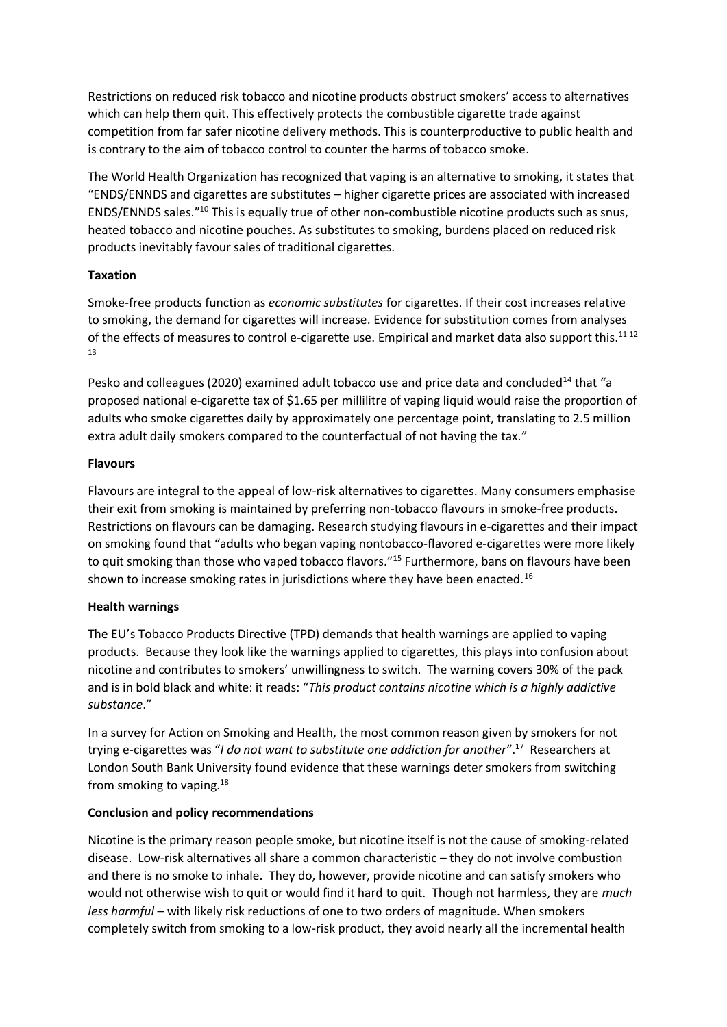Restrictions on reduced risk tobacco and nicotine products obstruct smokers' access to alternatives which can help them quit. This effectively protects the combustible cigarette trade against competition from far safer nicotine delivery methods. This is counterproductive to public health and is contrary to the aim of tobacco control to counter the harms of tobacco smoke.

The World Health Organization has recognized that vaping is an alternative to smoking, it states that "ENDS/ENNDS and cigarettes are substitutes – higher cigarette prices are associated with increased ENDS/ENNDS sales."<sup>10</sup> This is equally true of other non-combustible nicotine products such as snus, heated tobacco and nicotine pouches. As substitutes to smoking, burdens placed on reduced risk products inevitably favour sales of traditional cigarettes.

# **Taxation**

Smoke-free products function as *economic substitutes* for cigarettes. If their cost increases relative to smoking, the demand for cigarettes will increase. Evidence for substitution comes from analyses of the effects of measures to control e-cigarette use. Empirical and market data also support this.<sup>11 12</sup> 13

Pesko and colleagues (2020) examined adult tobacco use and price data and concluded<sup>14</sup> that "a proposed national e-cigarette tax of \$1.65 per millilitre of vaping liquid would raise the proportion of adults who smoke cigarettes daily by approximately one percentage point, translating to 2.5 million extra adult daily smokers compared to the counterfactual of not having the tax."

### **Flavours**

Flavours are integral to the appeal of low-risk alternatives to cigarettes. Many consumers emphasise their exit from smoking is maintained by preferring non-tobacco flavours in smoke-free products. Restrictions on flavours can be damaging. Research studying flavours in e-cigarettes and their impact on smoking found that "adults who began vaping nontobacco-flavored e-cigarettes were more likely to quit smoking than those who vaped tobacco flavors.<sup>"15</sup> Furthermore, bans on flavours have been shown to increase smoking rates in jurisdictions where they have been enacted.<sup>16</sup>

# **Health warnings**

The EU's Tobacco Products Directive (TPD) demands that health warnings are applied to vaping products. Because they look like the warnings applied to cigarettes, this plays into confusion about nicotine and contributes to smokers' unwillingness to switch. The warning covers 30% of the pack and is in bold black and white: it reads: "*This product contains nicotine which is a highly addictive substance*."

In a survey for Action on Smoking and Health, the most common reason given by smokers for not trying e-cigarettes was "*I do not want to substitute one addiction for another*".<sup>17</sup> Researchers at London South Bank University found evidence that these warnings deter smokers from switching from smoking to vaping.<sup>18</sup>

# **Conclusion and policy recommendations**

Nicotine is the primary reason people smoke, but nicotine itself is not the cause of smoking-related disease. Low-risk alternatives all share a common characteristic – they do not involve combustion and there is no smoke to inhale. They do, however, provide nicotine and can satisfy smokers who would not otherwise wish to quit or would find it hard to quit. Though not harmless, they are *much less harmful* – with likely risk reductions of one to two orders of magnitude. When smokers completely switch from smoking to a low-risk product, they avoid nearly all the incremental health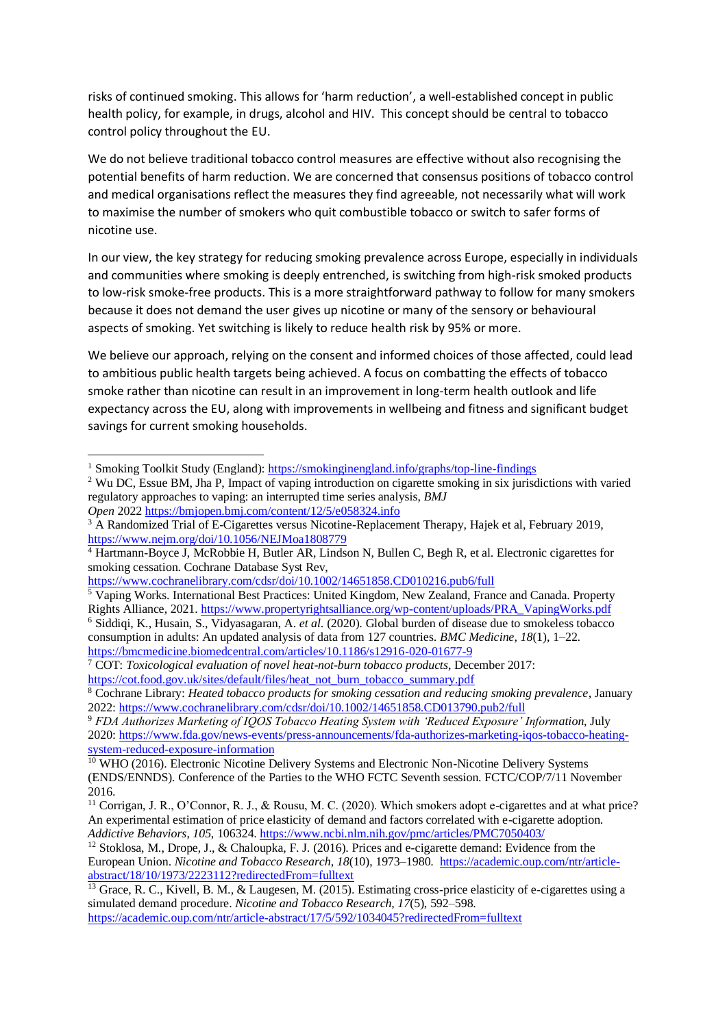risks of continued smoking. This allows for 'harm reduction', a well-established concept in public health policy, for example, in drugs, alcohol and HIV. This concept should be central to tobacco control policy throughout the EU.

We do not believe traditional tobacco control measures are effective without also recognising the potential benefits of harm reduction. We are concerned that consensus positions of tobacco control and medical organisations reflect the measures they find agreeable, not necessarily what will work to maximise the number of smokers who quit combustible tobacco or switch to safer forms of nicotine use.

In our view, the key strategy for reducing smoking prevalence across Europe, especially in individuals and communities where smoking is deeply entrenched, is switching from high-risk smoked products to low-risk smoke-free products. This is a more straightforward pathway to follow for many smokers because it does not demand the user gives up nicotine or many of the sensory or behavioural aspects of smoking. Yet switching is likely to reduce health risk by 95% or more.

We believe our approach, relying on the consent and informed choices of those affected, could lead to ambitious public health targets being achieved. A focus on combatting the effects of tobacco smoke rather than nicotine can result in an improvement in long-term health outlook and life expectancy across the EU, along with improvements in wellbeing and fitness and significant budget savings for current smoking households.

<sup>1</sup> Smoking Toolkit Study (England)[: https://smokinginengland.info/graphs/top-line-findings](https://smokinginengland.info/graphs/top-line-findings)

<sup>&</sup>lt;sup>2</sup> Wu DC, Essue BM, Jha P, Impact of vaping introduction on cigarette smoking in six jurisdictions with varied regulatory approaches to vaping: an interrupted time series analysis, *BMJ* 

*Open* 2022 <https://bmjopen.bmj.com/content/12/5/e058324.info>

<sup>&</sup>lt;sup>3</sup> A Randomized Trial of E-Cigarettes versus Nicotine-Replacement Therapy, Hajek et al, February 2019, <https://www.nejm.org/doi/10.1056/NEJMoa1808779>

<sup>&</sup>lt;sup>4</sup> Hartmann-Boyce J, McRobbie H, Butler AR, Lindson N, Bullen C, Begh R, et al. Electronic cigarettes for smoking cessation. Cochrane Database Syst Rev,

<https://www.cochranelibrary.com/cdsr/doi/10.1002/14651858.CD010216.pub6/full>

<sup>&</sup>lt;sup>5</sup> Vaping Works. International Best Practices: United Kingdom, New Zealand, France and Canada. Property Rights Alliance, 2021[. https://www.propertyrightsalliance.org/wp-content/uploads/PRA\\_VapingWorks.pdf](https://www.propertyrightsalliance.org/wp-content/uploads/PRA_VapingWorks.pdf) <sup>6</sup> Siddiqi, K., Husain, S., Vidyasagaran, A. *et al*. (2020). Global burden of disease due to smokeless tobacco consumption in adults: An updated analysis of data from 127 countries. *BMC Medicine*, *18*(1), 1–22. <https://bmcmedicine.biomedcentral.com/articles/10.1186/s12916-020-01677-9>

<sup>7</sup> COT: *Toxicological evaluation of novel heat-not-burn tobacco products*, December 2017: [https://cot.food.gov.uk/sites/default/files/heat\\_not\\_burn\\_tobacco\\_summary.pdf](https://cot.food.gov.uk/sites/default/files/heat_not_burn_tobacco_summary.pdf)

<sup>8</sup> Cochrane Library: *Heated tobacco products for smoking cessation and reducing smoking prevalence*, January 2022:<https://www.cochranelibrary.com/cdsr/doi/10.1002/14651858.CD013790.pub2/full>

<sup>9</sup> *FDA Authorizes Marketing of IQOS Tobacco Heating System with 'Reduced Exposure' Information*, July 2020: [https://www.fda.gov/news-events/press-announcements/fda-authorizes-marketing-iqos-tobacco-heating](https://www.fda.gov/news-events/press-announcements/fda-authorizes-marketing-iqos-tobacco-heating-system-reduced-exposure-information)[system-reduced-exposure-information](https://www.fda.gov/news-events/press-announcements/fda-authorizes-marketing-iqos-tobacco-heating-system-reduced-exposure-information)

<sup>&</sup>lt;sup>10</sup> WHO (2016). Electronic Nicotine Delivery Systems and Electronic Non-Nicotine Delivery Systems (ENDS/ENNDS). Conference of the Parties to the WHO FCTC Seventh session. FCTC/COP/7/11 November 2016.

<sup>11</sup> Corrigan, J. R., O'Connor, R. J., & Rousu, M. C. (2020). Which smokers adopt e-cigarettes and at what price? An experimental estimation of price elasticity of demand and factors correlated with e-cigarette adoption. *Addictive Behaviors*, *105*, 106324. <https://www.ncbi.nlm.nih.gov/pmc/articles/PMC7050403/>

<sup>12</sup> Stoklosa, M., Drope, J., & Chaloupka, F. J. (2016). Prices and e-cigarette demand: Evidence from the European Union. *Nicotine and Tobacco Research*, *18*(10), 1973–1980. [https://academic.oup.com/ntr/article](https://academic.oup.com/ntr/article-abstract/18/10/1973/2223112?redirectedFrom=fulltext)[abstract/18/10/1973/2223112?redirectedFrom=fulltext](https://academic.oup.com/ntr/article-abstract/18/10/1973/2223112?redirectedFrom=fulltext)

<sup>&</sup>lt;sup>13</sup> Grace, R. C., Kivell, B. M., & Laugesen, M. (2015). Estimating cross-price elasticity of e-cigarettes using a simulated demand procedure. *Nicotine and Tobacco Research*, *17*(5), 592–598.

<https://academic.oup.com/ntr/article-abstract/17/5/592/1034045?redirectedFrom=fulltext>